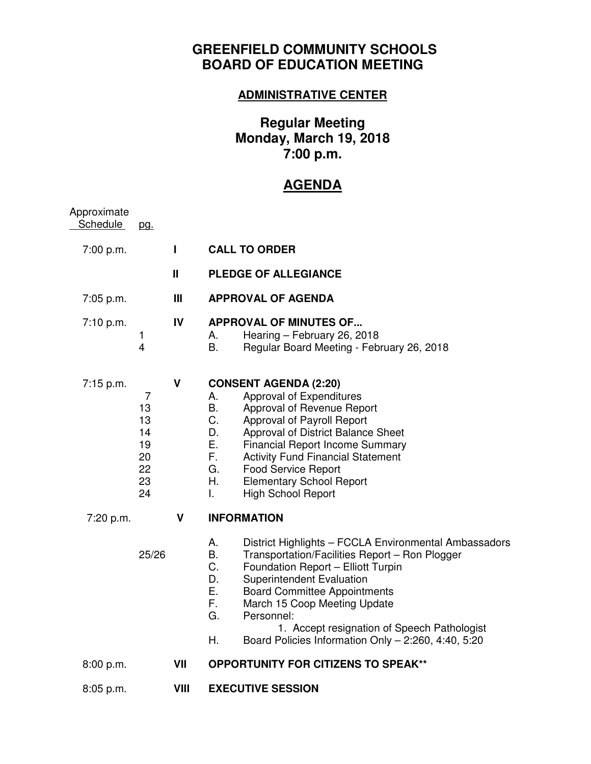## **GREENFIELD COMMUNITY SCHOOLS BOARD OF EDUCATION MEETING**

### **ADMINISTRATIVE CENTER**

# **Regular Meeting Monday, March 19, 2018 7:00 p.m.**

# **AGENDA**

| Approximate<br><b>Schedule</b> | <u>pg.</u>                                        |             |                                                                                                                                                                                                                                                                                                                                                                                                                       |
|--------------------------------|---------------------------------------------------|-------------|-----------------------------------------------------------------------------------------------------------------------------------------------------------------------------------------------------------------------------------------------------------------------------------------------------------------------------------------------------------------------------------------------------------------------|
| 7:00 p.m.                      |                                                   | Ш           | <b>CALL TO ORDER</b>                                                                                                                                                                                                                                                                                                                                                                                                  |
|                                |                                                   | Ш           | <b>PLEDGE OF ALLEGIANCE</b>                                                                                                                                                                                                                                                                                                                                                                                           |
| 7:05 p.m.                      |                                                   | Ш           | <b>APPROVAL OF AGENDA</b>                                                                                                                                                                                                                                                                                                                                                                                             |
| 7:10 p.m.                      | $\mathbf{1}$<br>$\overline{4}$                    | IV          | <b>APPROVAL OF MINUTES OF</b><br>Hearing - February 26, 2018<br>А.<br><b>B.</b><br>Regular Board Meeting - February 26, 2018                                                                                                                                                                                                                                                                                          |
| 7:15 p.m.                      | 7<br>13<br>13<br>14<br>19<br>20<br>22<br>23<br>24 | $\mathbf v$ | <b>CONSENT AGENDA (2:20)</b><br>Approval of Expenditures<br>А.<br>B.<br>Approval of Revenue Report<br>C.<br>Approval of Payroll Report<br>Approval of District Balance Sheet<br>D.<br>Е.<br><b>Financial Report Income Summary</b><br>F.<br><b>Activity Fund Financial Statement</b><br>G.<br><b>Food Service Report</b><br>Η.<br><b>Elementary School Report</b><br><b>High School Report</b><br>L.                  |
| 7:20 p.m.                      |                                                   | V           | <b>INFORMATION</b>                                                                                                                                                                                                                                                                                                                                                                                                    |
|                                | 25/26                                             |             | District Highlights - FCCLA Environmental Ambassadors<br>А.<br>В.<br>Transportation/Facilities Report - Ron Plogger<br>C.<br>Foundation Report - Elliott Turpin<br>D.<br>Superintendent Evaluation<br>Е.<br><b>Board Committee Appointments</b><br>F.<br>March 15 Coop Meeting Update<br>G.<br>Personnel:<br>1. Accept resignation of Speech Pathologist<br>Н.<br>Board Policies Information Only - 2:260, 4:40, 5:20 |
| 8:00 p.m.                      |                                                   | VII         | <b>OPPORTUNITY FOR CITIZENS TO SPEAK**</b>                                                                                                                                                                                                                                                                                                                                                                            |
| 8:05 p.m.                      |                                                   | VIII        | <b>EXECUTIVE SESSION</b>                                                                                                                                                                                                                                                                                                                                                                                              |